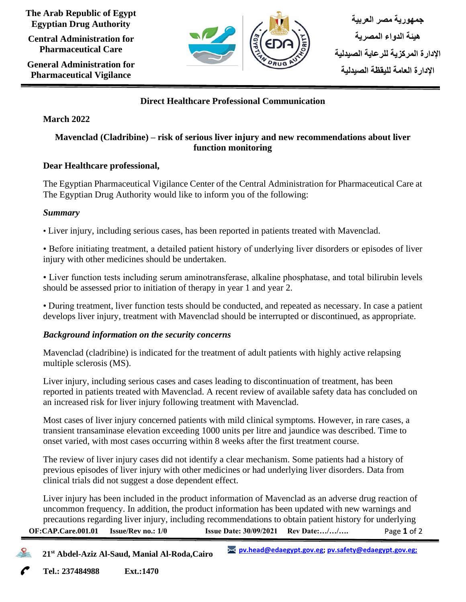**The Arab Republic of Egypt Egyptian Drug Authority**

**Central Administration for Pharmaceutical Care**

**General Administration for Pharmaceutical Vigilance**



## **Direct Healthcare Professional Communication**

## **March 2022**

## **Mavenclad (Cladribine) – risk of serious liver injury and new recommendations about liver function monitoring**

## **Dear Healthcare professional,**

The Egyptian Pharmaceutical Vigilance Center of the Central Administration for Pharmaceutical Care at The Egyptian Drug Authority would like to inform you of the following:

## *Summary*

• Liver injury, including serious cases, has been reported in patients treated with Mavenclad.

• Before initiating treatment, a detailed patient history of underlying liver disorders or episodes of liver injury with other medicines should be undertaken.

• Liver function tests including serum aminotransferase, alkaline phosphatase, and total bilirubin levels should be assessed prior to initiation of therapy in year 1 and year 2.

• During treatment, liver function tests should be conducted, and repeated as necessary. In case a patient develops liver injury, treatment with Mavenclad should be interrupted or discontinued, as appropriate.

## *Background information on the security concerns*

Mavenclad (cladribine) is indicated for the treatment of adult patients with highly active relapsing multiple sclerosis (MS).

Liver injury, including serious cases and cases leading to discontinuation of treatment, has been reported in patients treated with Mavenclad. A recent review of available safety data has concluded on an increased risk for liver injury following treatment with Mavenclad.

Most cases of liver injury concerned patients with mild clinical symptoms. However, in rare cases, a transient transaminase elevation exceeding 1000 units per litre and jaundice was described. Time to onset varied, with most cases occurring within 8 weeks after the first treatment course.

The review of liver injury cases did not identify a clear mechanism. Some patients had a history of previous episodes of liver injury with other medicines or had underlying liver disorders. Data from clinical trials did not suggest a dose dependent effect.

Page **1** of 2 **OF:CAP.Care.001.01 Issue/Rev no.: 1/0 Issue Date: 30/09/2021 Rev Date:…/…/….** Liver injury has been included in the product information of Mavenclad as an adverse drug reaction of uncommon frequency. In addition, the product information has been updated with new warnings and precautions regarding liver injury, including recommendations to obtain patient history for underlying